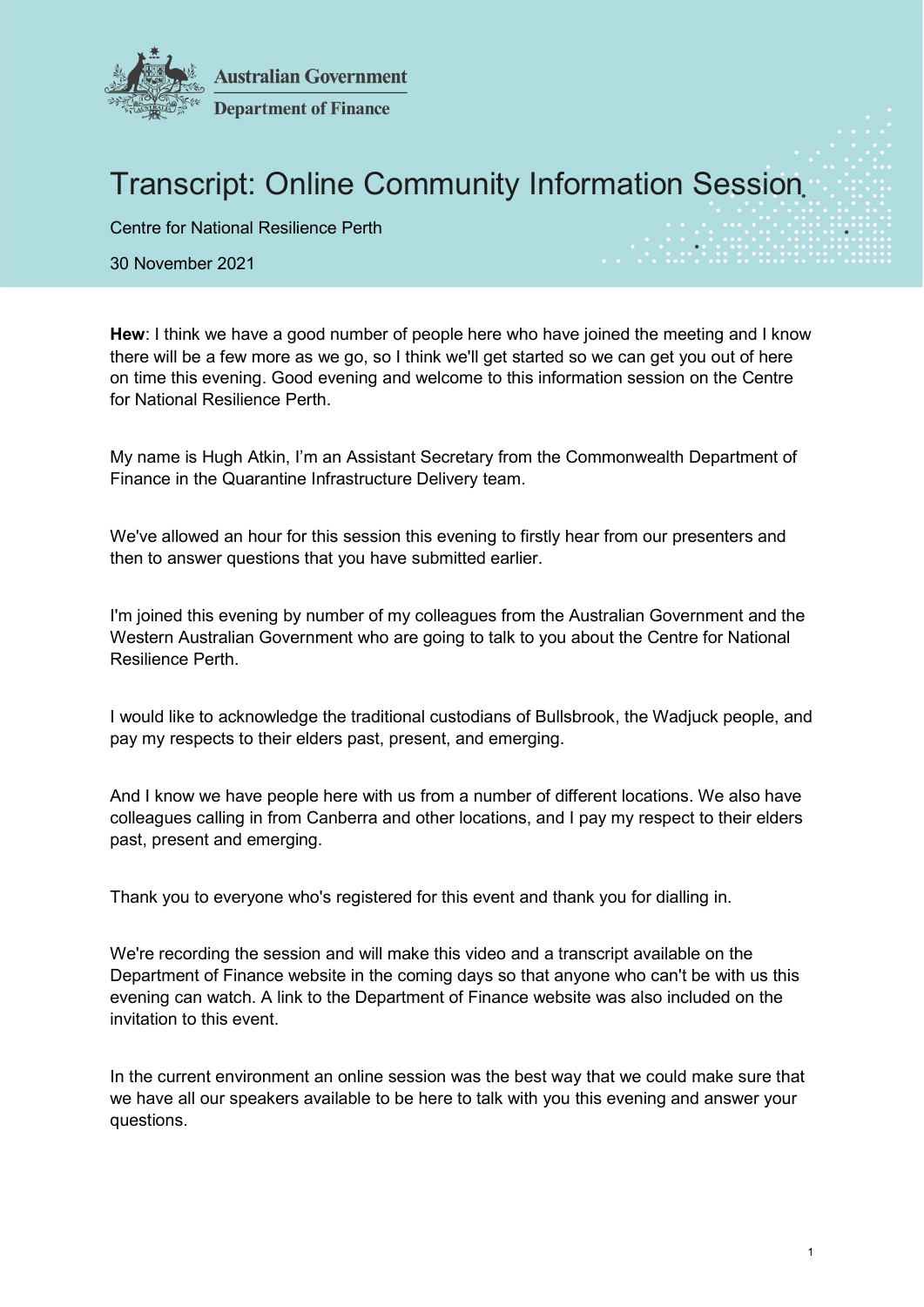

## Transcript: Online Community Information Session

Centre for National Resilience Perth

30 November 2021

Hew: I think we have a good number of people here who have joined the meeting and I know there will be a few more as we go, so I think we'll get started so we can get you out of here on time this evening. Good evening and welcome to this information session on the Centre for National Resilience Perth.

My name is Hugh Atkin, I'm an Assistant Secretary from the Commonwealth Department of Finance in the Quarantine Infrastructure Delivery team.

We've allowed an hour for this session this evening to firstly hear from our presenters and then to answer questions that you have submitted earlier.

I'm joined this evening by number of my colleagues from the Australian Government and the Western Australian Government who are going to talk to you about the Centre for National Resilience Perth.

I would like to acknowledge the traditional custodians of Bullsbrook, the Wadjuck people, and pay my respects to their elders past, present, and emerging.

And I know we have people here with us from a number of different locations. We also have colleagues calling in from Canberra and other locations, and I pay my respect to their elders past, present and emerging.

Thank you to everyone who's registered for this event and thank you for dialling in.

We're recording the session and will make this video and a transcript available on the Department of Finance website in the coming days so that anyone who can't be with us this evening can watch. A link to the Department of Finance website was also included on the invitation to this event.

In the current environment an online session was the best way that we could make sure that we have all our speakers available to be here to talk with you this evening and answer your questions.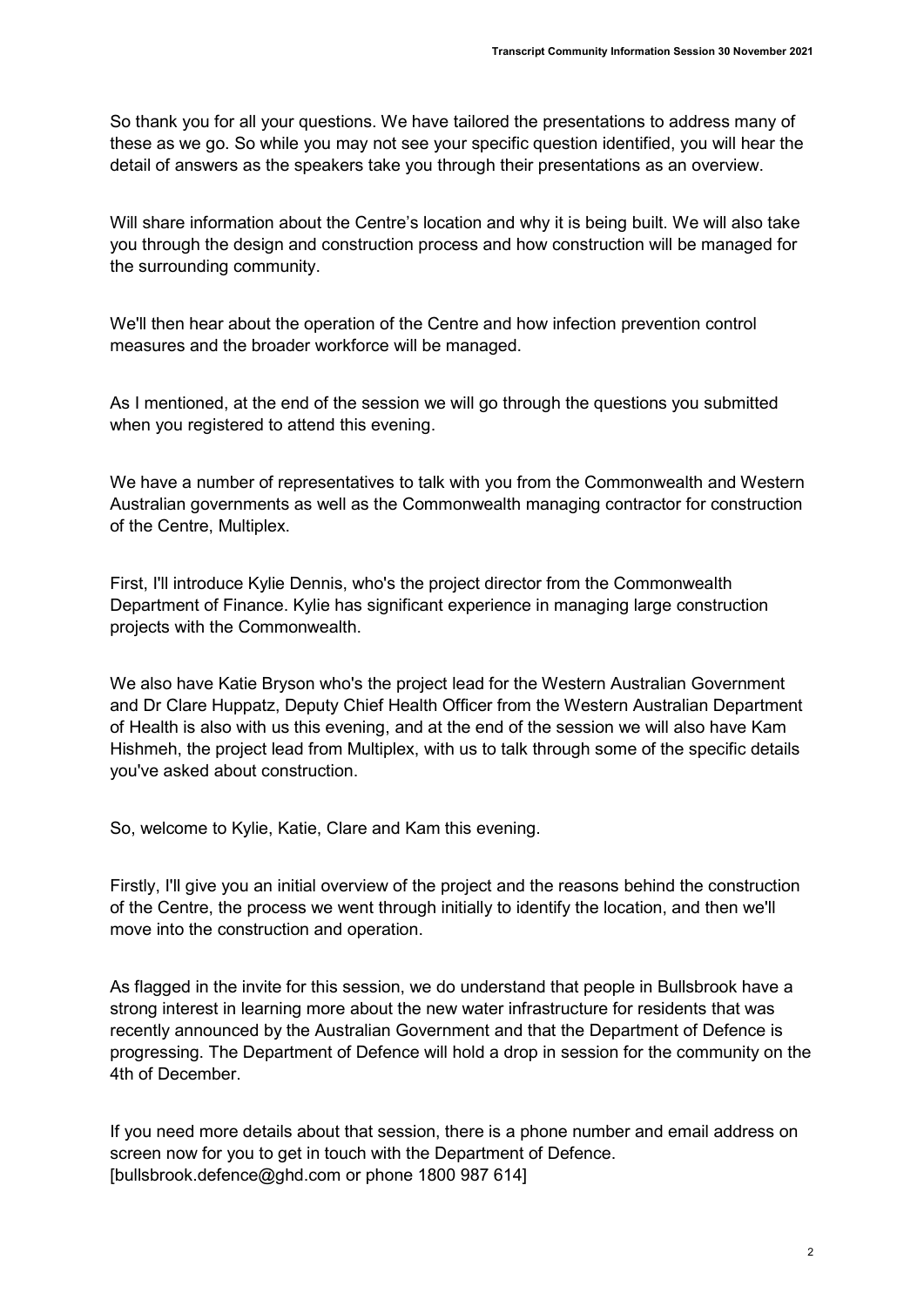So thank you for all your questions. We have tailored the presentations to address many of these as we go. So while you may not see your specific question identified, you will hear the detail of answers as the speakers take you through their presentations as an overview.

Will share information about the Centre's location and why it is being built. We will also take you through the design and construction process and how construction will be managed for the surrounding community.

We'll then hear about the operation of the Centre and how infection prevention control measures and the broader workforce will be managed.

As I mentioned, at the end of the session we will go through the questions you submitted when you registered to attend this evening.

We have a number of representatives to talk with you from the Commonwealth and Western Australian governments as well as the Commonwealth managing contractor for construction of the Centre, Multiplex.

First, I'll introduce Kylie Dennis, who's the project director from the Commonwealth Department of Finance. Kylie has significant experience in managing large construction projects with the Commonwealth.

We also have Katie Bryson who's the project lead for the Western Australian Government and Dr Clare Huppatz, Deputy Chief Health Officer from the Western Australian Department of Health is also with us this evening, and at the end of the session we will also have Kam Hishmeh, the project lead from Multiplex, with us to talk through some of the specific details you've asked about construction.

So, welcome to Kylie, Katie, Clare and Kam this evening.

Firstly, I'll give you an initial overview of the project and the reasons behind the construction of the Centre, the process we went through initially to identify the location, and then we'll move into the construction and operation.

As flagged in the invite for this session, we do understand that people in Bullsbrook have a strong interest in learning more about the new water infrastructure for residents that was recently announced by the Australian Government and that the Department of Defence is progressing. The Department of Defence will hold a drop in session for the community on the 4th of December.

If you need more details about that session, there is a phone number and email address on screen now for you to get in touch with the Department of Defence. [bullsbrook.defence@ghd.com or phone 1800 987 614]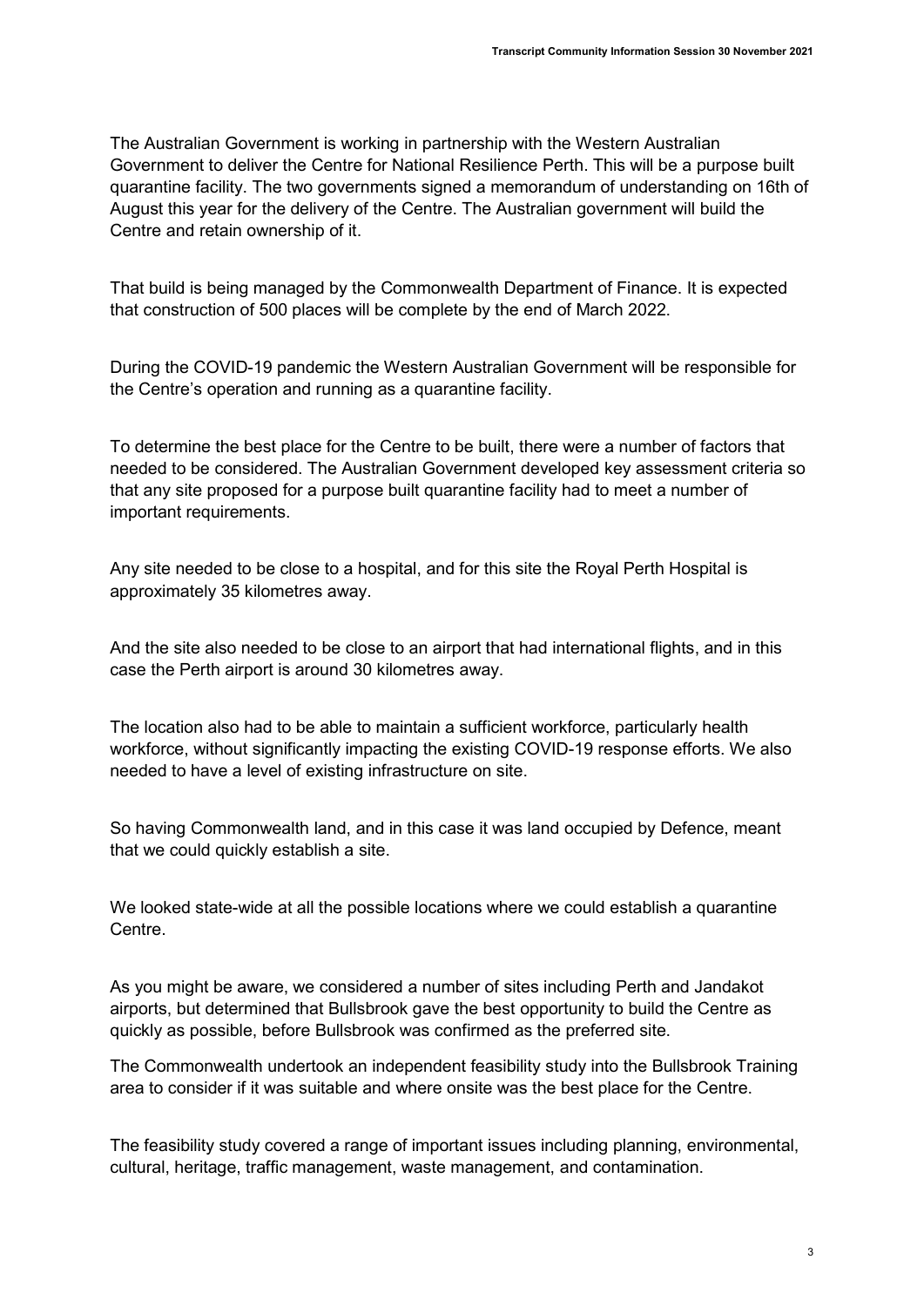The Australian Government is working in partnership with the Western Australian Government to deliver the Centre for National Resilience Perth. This will be a purpose built quarantine facility. The two governments signed a memorandum of understanding on 16th of August this year for the delivery of the Centre. The Australian government will build the Centre and retain ownership of it.

That build is being managed by the Commonwealth Department of Finance. It is expected that construction of 500 places will be complete by the end of March 2022.

During the COVID-19 pandemic the Western Australian Government will be responsible for the Centre's operation and running as a quarantine facility.

To determine the best place for the Centre to be built, there were a number of factors that needed to be considered. The Australian Government developed key assessment criteria so that any site proposed for a purpose built quarantine facility had to meet a number of important requirements.

Any site needed to be close to a hospital, and for this site the Royal Perth Hospital is approximately 35 kilometres away.

And the site also needed to be close to an airport that had international flights, and in this case the Perth airport is around 30 kilometres away.

The location also had to be able to maintain a sufficient workforce, particularly health workforce, without significantly impacting the existing COVID-19 response efforts. We also needed to have a level of existing infrastructure on site.

So having Commonwealth land, and in this case it was land occupied by Defence, meant that we could quickly establish a site.

We looked state-wide at all the possible locations where we could establish a quarantine Centre.

As you might be aware, we considered a number of sites including Perth and Jandakot airports, but determined that Bullsbrook gave the best opportunity to build the Centre as quickly as possible, before Bullsbrook was confirmed as the preferred site.

The Commonwealth undertook an independent feasibility study into the Bullsbrook Training area to consider if it was suitable and where onsite was the best place for the Centre.

The feasibility study covered a range of important issues including planning, environmental, cultural, heritage, traffic management, waste management, and contamination.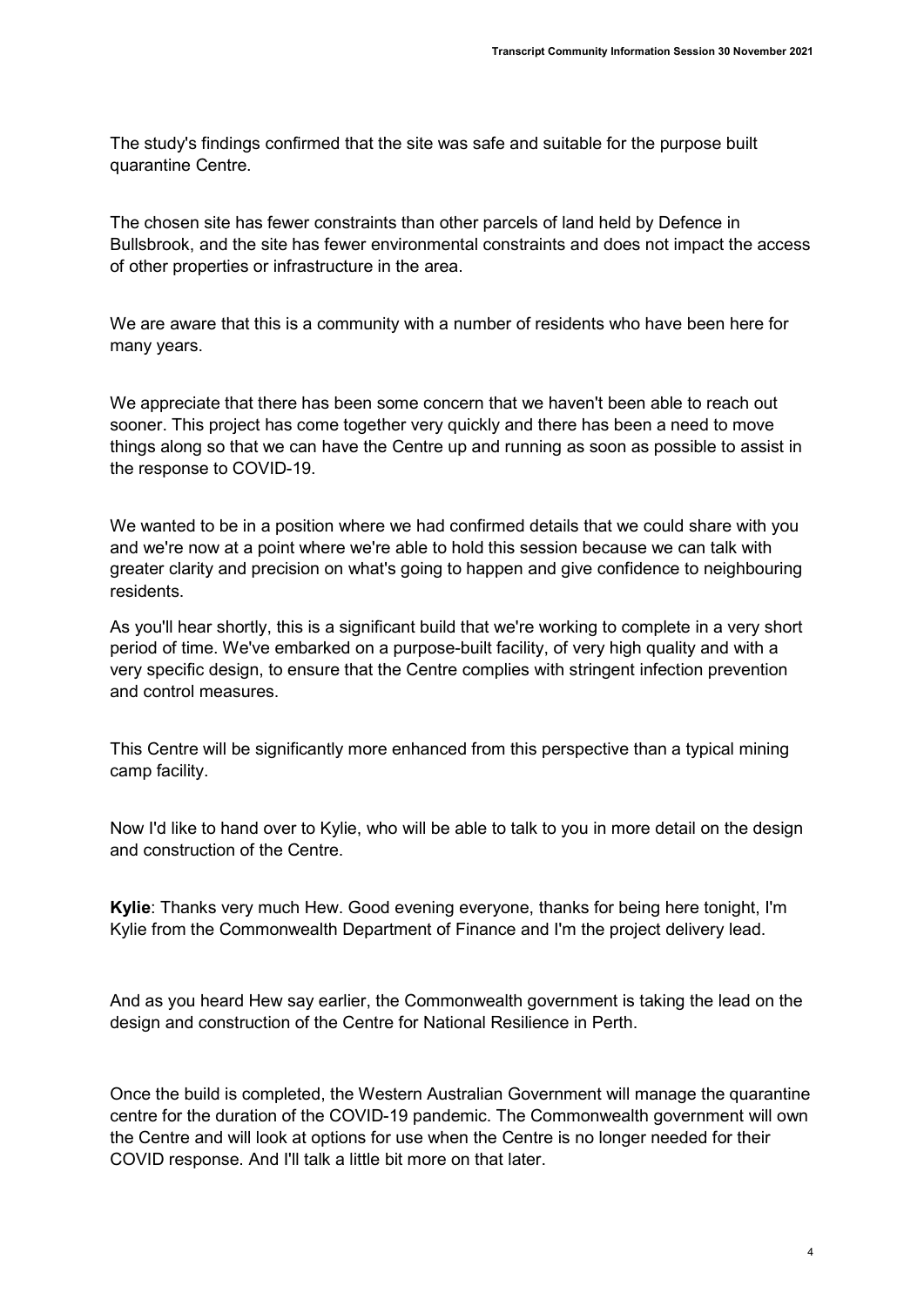The study's findings confirmed that the site was safe and suitable for the purpose built quarantine Centre.

The chosen site has fewer constraints than other parcels of land held by Defence in Bullsbrook, and the site has fewer environmental constraints and does not impact the access of other properties or infrastructure in the area.

We are aware that this is a community with a number of residents who have been here for many years.

We appreciate that there has been some concern that we haven't been able to reach out sooner. This project has come together very quickly and there has been a need to move things along so that we can have the Centre up and running as soon as possible to assist in the response to COVID-19.

We wanted to be in a position where we had confirmed details that we could share with you and we're now at a point where we're able to hold this session because we can talk with greater clarity and precision on what's going to happen and give confidence to neighbouring residents.

As you'll hear shortly, this is a significant build that we're working to complete in a very short period of time. We've embarked on a purpose-built facility, of very high quality and with a very specific design, to ensure that the Centre complies with stringent infection prevention and control measures.

This Centre will be significantly more enhanced from this perspective than a typical mining camp facility.

Now I'd like to hand over to Kylie, who will be able to talk to you in more detail on the design and construction of the Centre.

Kylie: Thanks very much Hew. Good evening everyone, thanks for being here tonight, I'm Kylie from the Commonwealth Department of Finance and I'm the project delivery lead.

And as you heard Hew say earlier, the Commonwealth government is taking the lead on the design and construction of the Centre for National Resilience in Perth.

Once the build is completed, the Western Australian Government will manage the quarantine centre for the duration of the COVID-19 pandemic. The Commonwealth government will own the Centre and will look at options for use when the Centre is no longer needed for their COVID response. And I'll talk a little bit more on that later.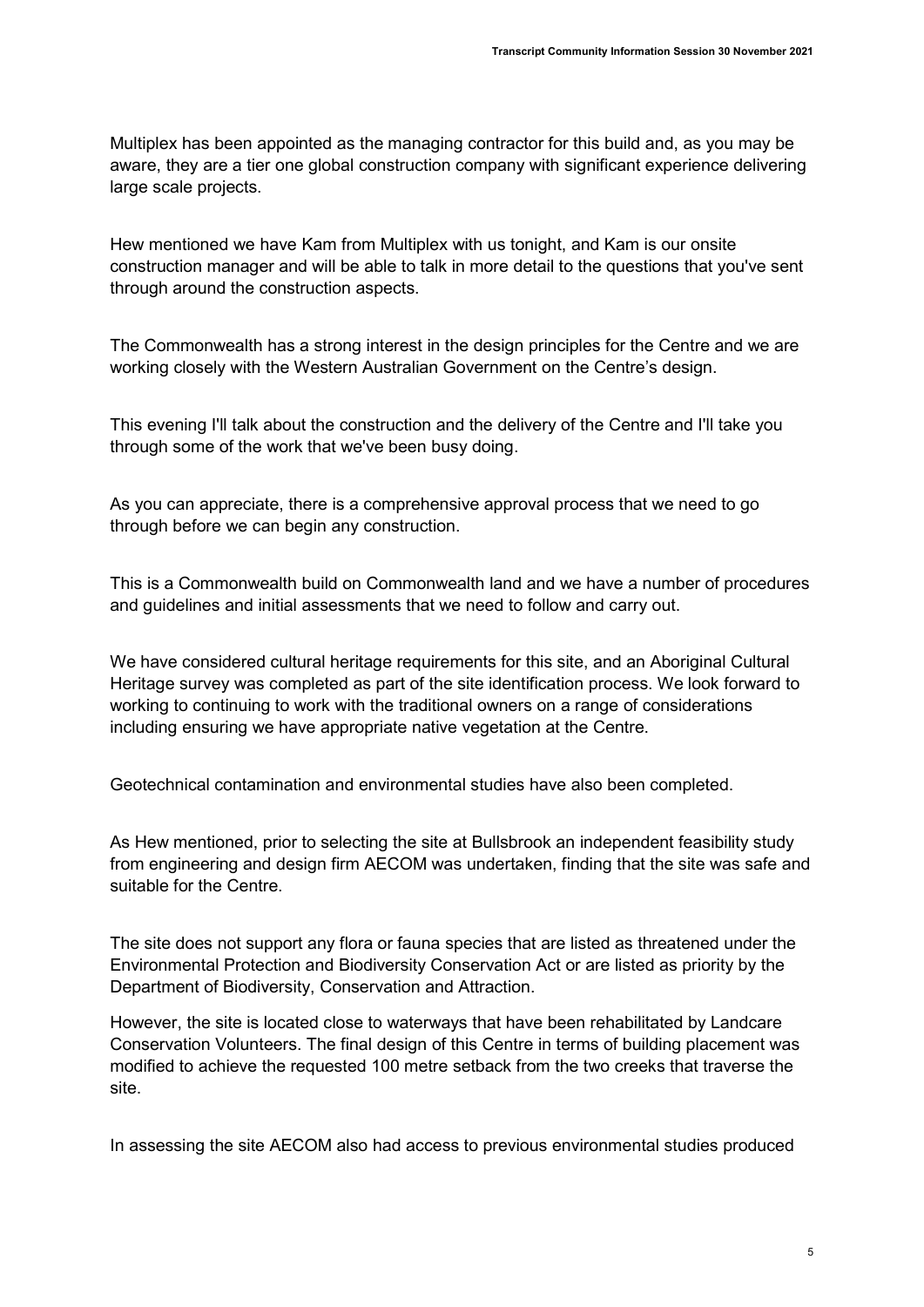Multiplex has been appointed as the managing contractor for this build and, as you may be aware, they are a tier one global construction company with significant experience delivering large scale projects.

Hew mentioned we have Kam from Multiplex with us tonight, and Kam is our onsite construction manager and will be able to talk in more detail to the questions that you've sent through around the construction aspects.

The Commonwealth has a strong interest in the design principles for the Centre and we are working closely with the Western Australian Government on the Centre's design.

This evening I'll talk about the construction and the delivery of the Centre and I'll take you through some of the work that we've been busy doing.

As you can appreciate, there is a comprehensive approval process that we need to go through before we can begin any construction.

This is a Commonwealth build on Commonwealth land and we have a number of procedures and guidelines and initial assessments that we need to follow and carry out.

We have considered cultural heritage requirements for this site, and an Aboriginal Cultural Heritage survey was completed as part of the site identification process. We look forward to working to continuing to work with the traditional owners on a range of considerations including ensuring we have appropriate native vegetation at the Centre.

Geotechnical contamination and environmental studies have also been completed.

As Hew mentioned, prior to selecting the site at Bullsbrook an independent feasibility study from engineering and design firm AECOM was undertaken, finding that the site was safe and suitable for the Centre.

The site does not support any flora or fauna species that are listed as threatened under the Environmental Protection and Biodiversity Conservation Act or are listed as priority by the Department of Biodiversity, Conservation and Attraction.

However, the site is located close to waterways that have been rehabilitated by Landcare Conservation Volunteers. The final design of this Centre in terms of building placement was modified to achieve the requested 100 metre setback from the two creeks that traverse the site.

In assessing the site AECOM also had access to previous environmental studies produced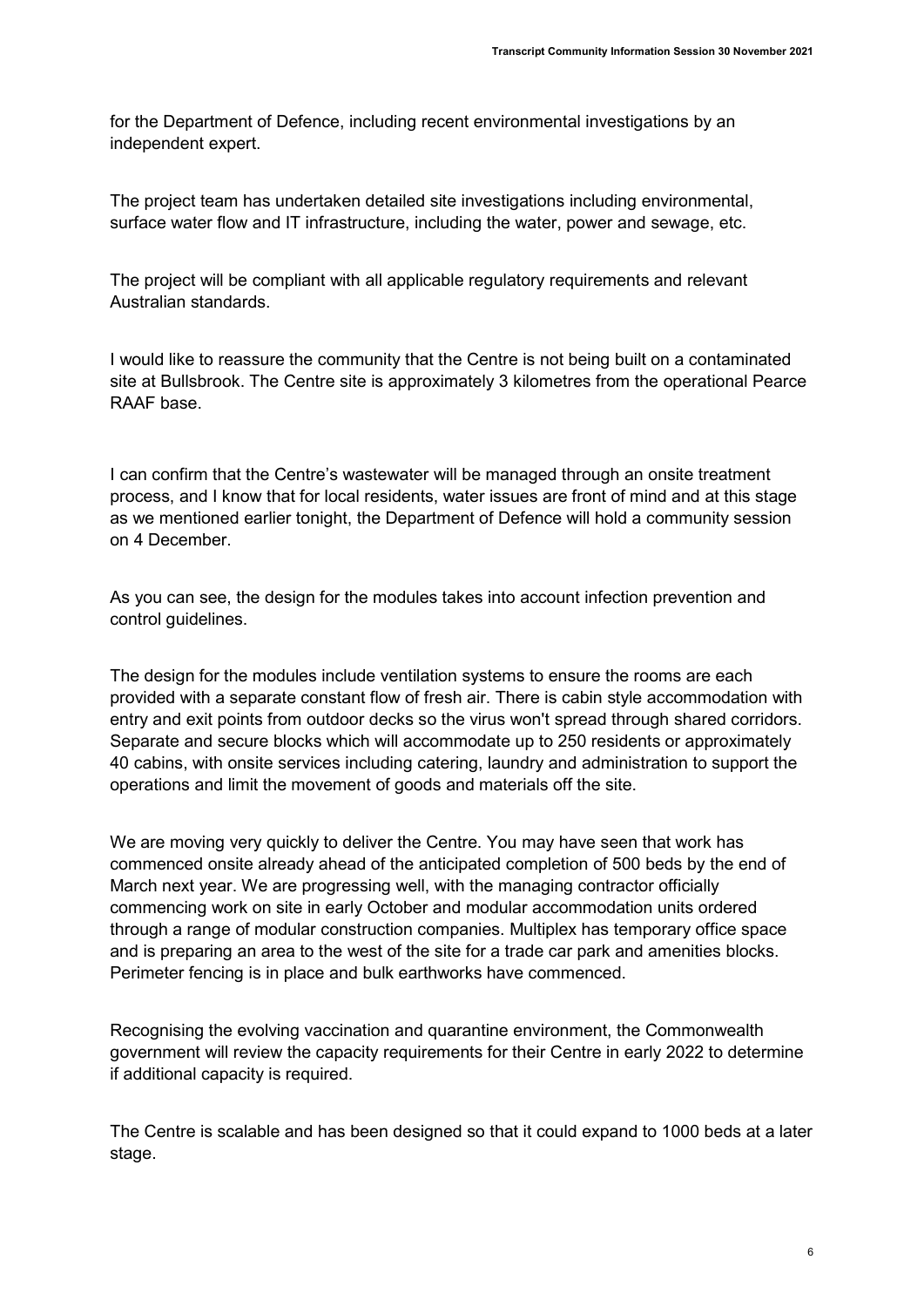for the Department of Defence, including recent environmental investigations by an independent expert.

The project team has undertaken detailed site investigations including environmental, surface water flow and IT infrastructure, including the water, power and sewage, etc.

The project will be compliant with all applicable regulatory requirements and relevant Australian standards.

I would like to reassure the community that the Centre is not being built on a contaminated site at Bullsbrook. The Centre site is approximately 3 kilometres from the operational Pearce RAAF base.

I can confirm that the Centre's wastewater will be managed through an onsite treatment process, and I know that for local residents, water issues are front of mind and at this stage as we mentioned earlier tonight, the Department of Defence will hold a community session on 4 December.

As you can see, the design for the modules takes into account infection prevention and control guidelines.

The design for the modules include ventilation systems to ensure the rooms are each provided with a separate constant flow of fresh air. There is cabin style accommodation with entry and exit points from outdoor decks so the virus won't spread through shared corridors. Separate and secure blocks which will accommodate up to 250 residents or approximately 40 cabins, with onsite services including catering, laundry and administration to support the operations and limit the movement of goods and materials off the site.

We are moving very quickly to deliver the Centre. You may have seen that work has commenced onsite already ahead of the anticipated completion of 500 beds by the end of March next year. We are progressing well, with the managing contractor officially commencing work on site in early October and modular accommodation units ordered through a range of modular construction companies. Multiplex has temporary office space and is preparing an area to the west of the site for a trade car park and amenities blocks. Perimeter fencing is in place and bulk earthworks have commenced.

Recognising the evolving vaccination and quarantine environment, the Commonwealth government will review the capacity requirements for their Centre in early 2022 to determine if additional capacity is required.

The Centre is scalable and has been designed so that it could expand to 1000 beds at a later stage.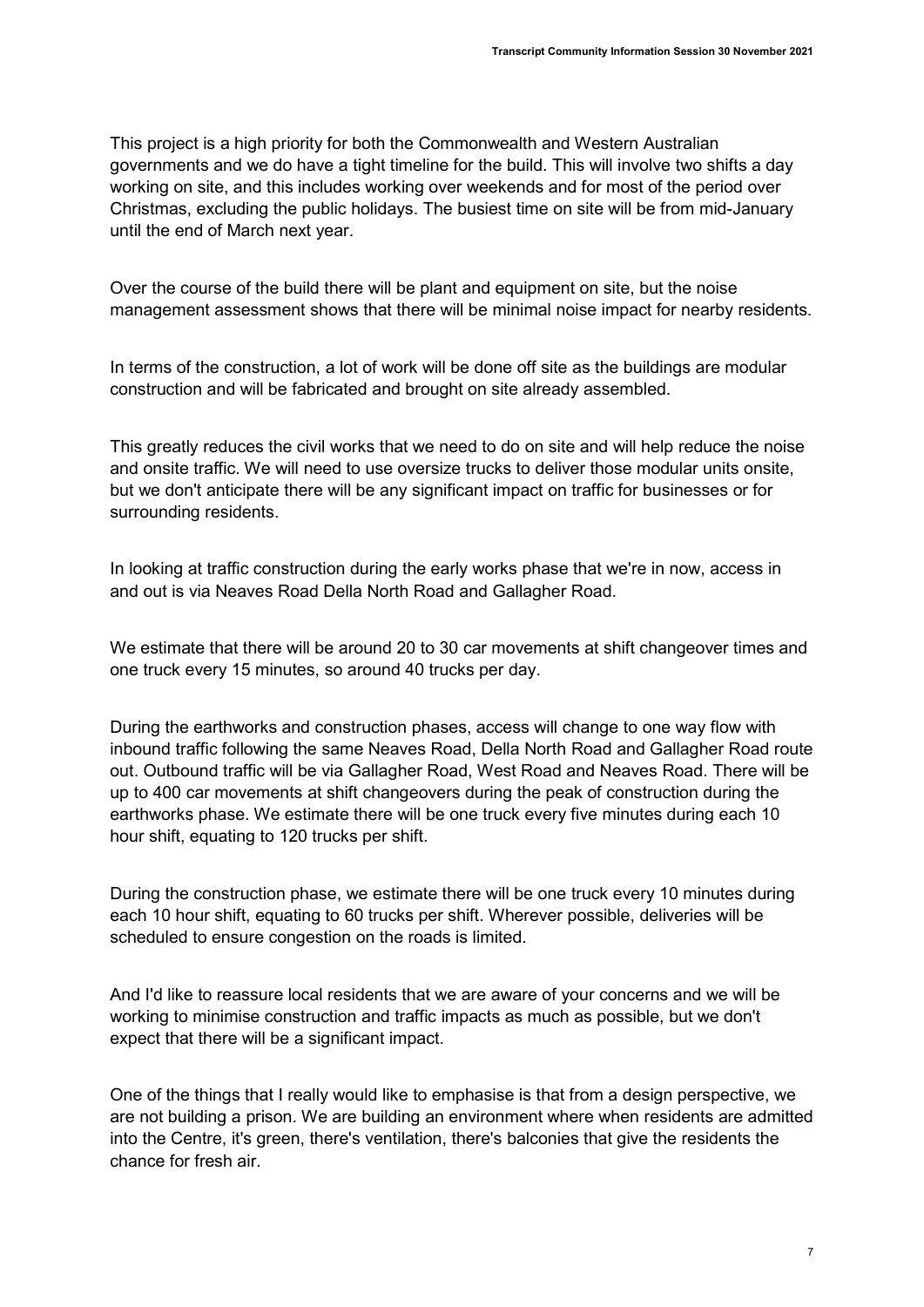This project is a high priority for both the Commonwealth and Western Australian governments and we do have a tight timeline for the build. This will involve two shifts a day working on site, and this includes working over weekends and for most of the period over Christmas, excluding the public holidays. The busiest time on site will be from mid-January until the end of March next year.

Over the course of the build there will be plant and equipment on site, but the noise management assessment shows that there will be minimal noise impact for nearby residents.

In terms of the construction, a lot of work will be done off site as the buildings are modular construction and will be fabricated and brought on site already assembled.

This greatly reduces the civil works that we need to do on site and will help reduce the noise and onsite traffic. We will need to use oversize trucks to deliver those modular units onsite, but we don't anticipate there will be any significant impact on traffic for businesses or for surrounding residents.

In looking at traffic construction during the early works phase that we're in now, access in and out is via Neaves Road Della North Road and Gallagher Road.

We estimate that there will be around 20 to 30 car movements at shift changeover times and one truck every 15 minutes, so around 40 trucks per day.

During the earthworks and construction phases, access will change to one way flow with inbound traffic following the same Neaves Road, Della North Road and Gallagher Road route out. Outbound traffic will be via Gallagher Road, West Road and Neaves Road. There will be up to 400 car movements at shift changeovers during the peak of construction during the earthworks phase. We estimate there will be one truck every five minutes during each 10 hour shift, equating to 120 trucks per shift.

During the construction phase, we estimate there will be one truck every 10 minutes during each 10 hour shift, equating to 60 trucks per shift. Wherever possible, deliveries will be scheduled to ensure congestion on the roads is limited.

And I'd like to reassure local residents that we are aware of your concerns and we will be working to minimise construction and traffic impacts as much as possible, but we don't expect that there will be a significant impact.

One of the things that I really would like to emphasise is that from a design perspective, we are not building a prison. We are building an environment where when residents are admitted into the Centre, it's green, there's ventilation, there's balconies that give the residents the chance for fresh air.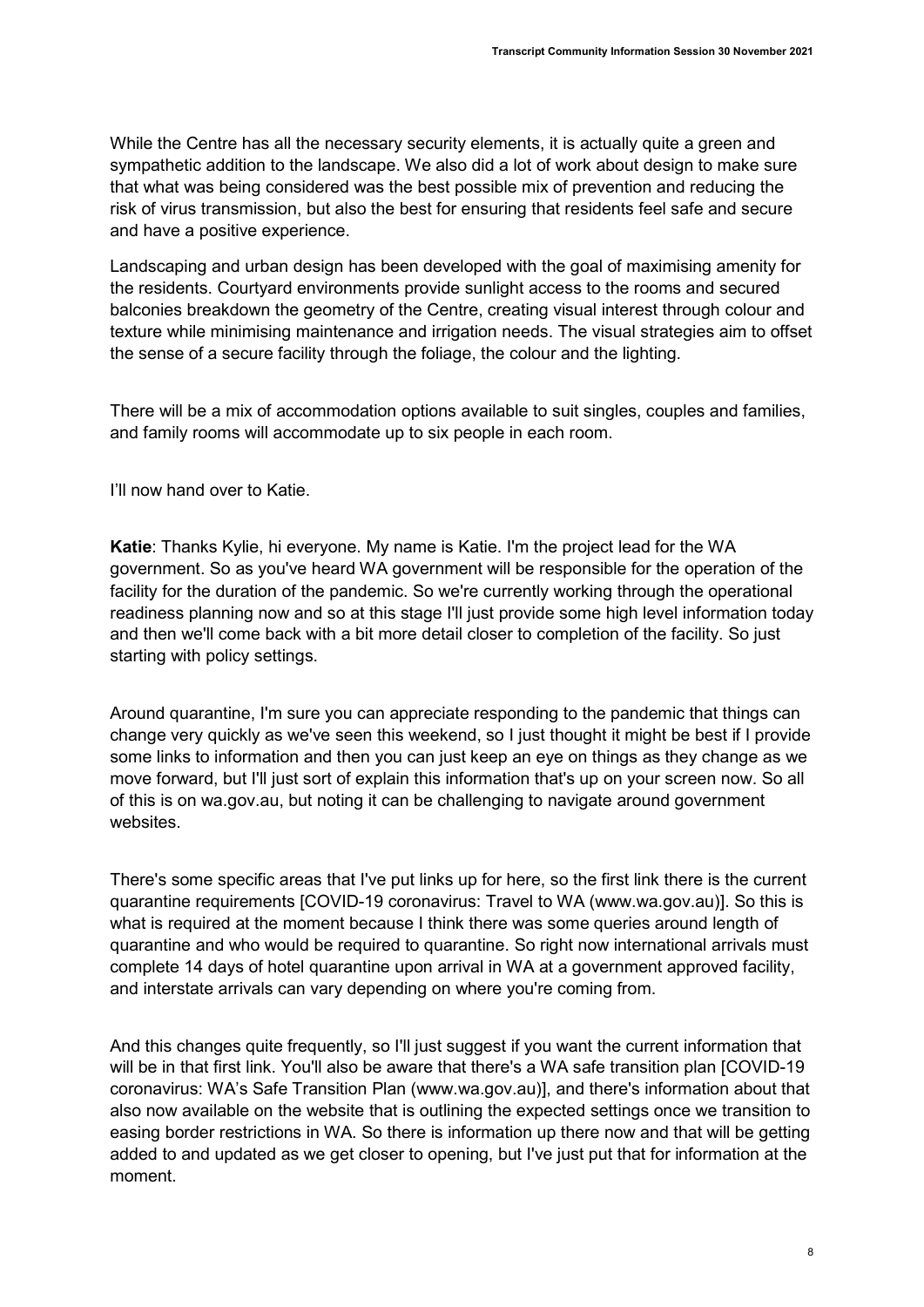While the Centre has all the necessary security elements, it is actually quite a green and sympathetic addition to the landscape. We also did a lot of work about design to make sure that what was being considered was the best possible mix of prevention and reducing the risk of virus transmission, but also the best for ensuring that residents feel safe and secure and have a positive experience.

Landscaping and urban design has been developed with the goal of maximising amenity for the residents. Courtyard environments provide sunlight access to the rooms and secured balconies breakdown the geometry of the Centre, creating visual interest through colour and texture while minimising maintenance and irrigation needs. The visual strategies aim to offset the sense of a secure facility through the foliage, the colour and the lighting.

There will be a mix of accommodation options available to suit singles, couples and families, and family rooms will accommodate up to six people in each room.

I'll now hand over to Katie.

Katie: Thanks Kylie, hi everyone. My name is Katie. I'm the project lead for the WA government. So as you've heard WA government will be responsible for the operation of the facility for the duration of the pandemic. So we're currently working through the operational readiness planning now and so at this stage I'll just provide some high level information today and then we'll come back with a bit more detail closer to completion of the facility. So just starting with policy settings.

Around quarantine, I'm sure you can appreciate responding to the pandemic that things can change very quickly as we've seen this weekend, so I just thought it might be best if I provide some links to information and then you can just keep an eye on things as they change as we move forward, but I'll just sort of explain this information that's up on your screen now. So all of this is on wa.gov.au, but noting it can be challenging to navigate around government websites.

There's some specific areas that I've put links up for here, so the first link there is the current quarantine requirements [COVID-19 coronavirus: Travel to WA (www.wa.gov.au)]. So this is what is required at the moment because I think there was some queries around length of quarantine and who would be required to quarantine. So right now international arrivals must complete 14 days of hotel quarantine upon arrival in WA at a government approved facility, and interstate arrivals can vary depending on where you're coming from.

And this changes quite frequently, so I'll just suggest if you want the current information that will be in that first link. You'll also be aware that there's a WA safe transition plan [COVID-19 coronavirus: WA's Safe Transition Plan (www.wa.gov.au)], and there's information about that also now available on the website that is outlining the expected settings once we transition to easing border restrictions in WA. So there is information up there now and that will be getting added to and updated as we get closer to opening, but I've just put that for information at the moment.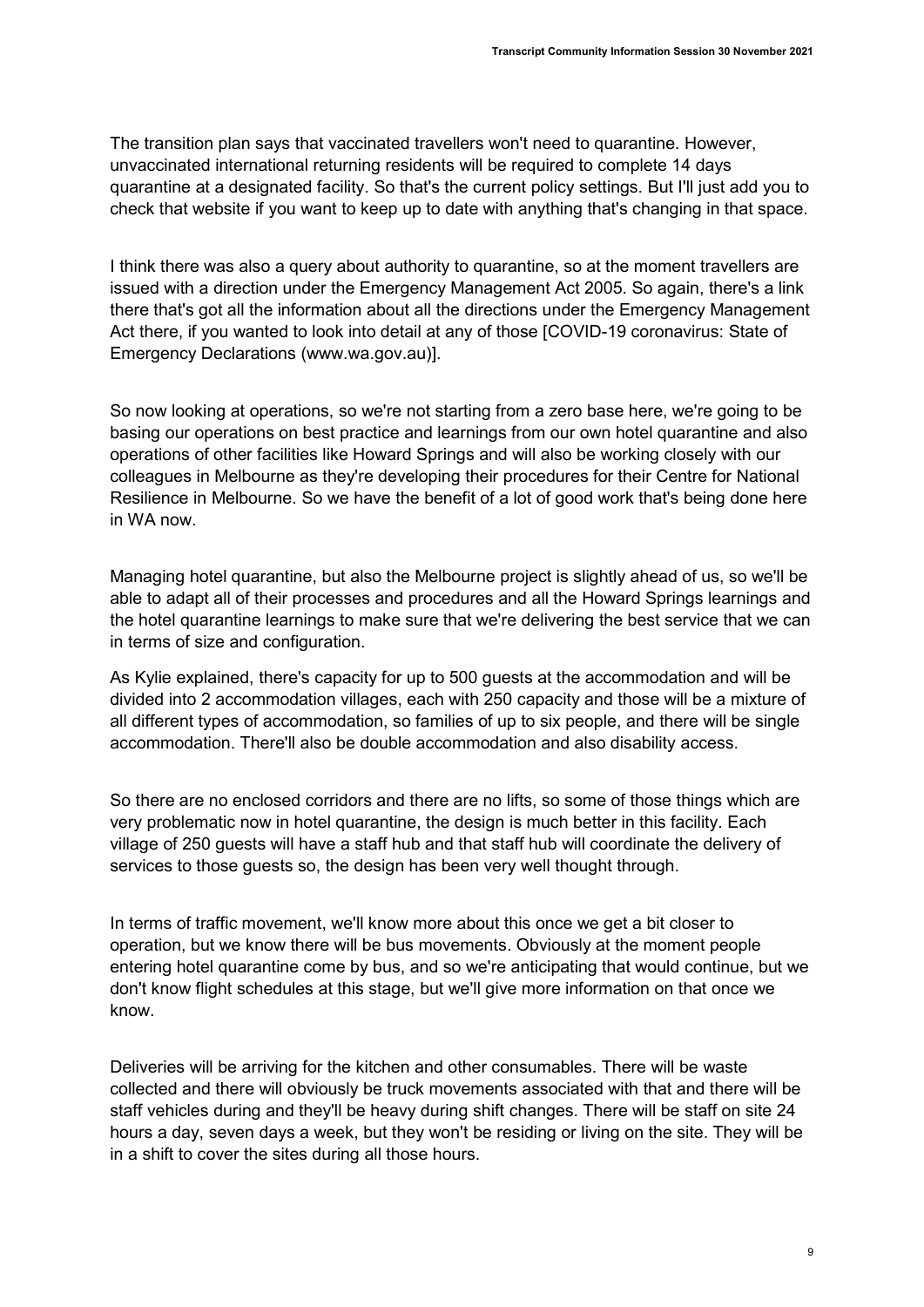The transition plan says that vaccinated travellers won't need to quarantine. However, unvaccinated international returning residents will be required to complete 14 days quarantine at a designated facility. So that's the current policy settings. But I'll just add you to check that website if you want to keep up to date with anything that's changing in that space.

I think there was also a query about authority to quarantine, so at the moment travellers are issued with a direction under the Emergency Management Act 2005. So again, there's a link there that's got all the information about all the directions under the Emergency Management Act there, if you wanted to look into detail at any of those [COVID-19 coronavirus: State of Emergency Declarations (www.wa.gov.au)].

So now looking at operations, so we're not starting from a zero base here, we're going to be basing our operations on best practice and learnings from our own hotel quarantine and also operations of other facilities like Howard Springs and will also be working closely with our colleagues in Melbourne as they're developing their procedures for their Centre for National Resilience in Melbourne. So we have the benefit of a lot of good work that's being done here in WA now.

Managing hotel quarantine, but also the Melbourne project is slightly ahead of us, so we'll be able to adapt all of their processes and procedures and all the Howard Springs learnings and the hotel quarantine learnings to make sure that we're delivering the best service that we can in terms of size and configuration.

As Kylie explained, there's capacity for up to 500 guests at the accommodation and will be divided into 2 accommodation villages, each with 250 capacity and those will be a mixture of all different types of accommodation, so families of up to six people, and there will be single accommodation. There'll also be double accommodation and also disability access.

So there are no enclosed corridors and there are no lifts, so some of those things which are very problematic now in hotel quarantine, the design is much better in this facility. Each village of 250 guests will have a staff hub and that staff hub will coordinate the delivery of services to those quests so, the design has been very well thought through.

In terms of traffic movement, we'll know more about this once we get a bit closer to operation, but we know there will be bus movements. Obviously at the moment people entering hotel quarantine come by bus, and so we're anticipating that would continue, but we don't know flight schedules at this stage, but we'll give more information on that once we know.

Deliveries will be arriving for the kitchen and other consumables. There will be waste collected and there will obviously be truck movements associated with that and there will be staff vehicles during and they'll be heavy during shift changes. There will be staff on site 24 hours a day, seven days a week, but they won't be residing or living on the site. They will be in a shift to cover the sites during all those hours.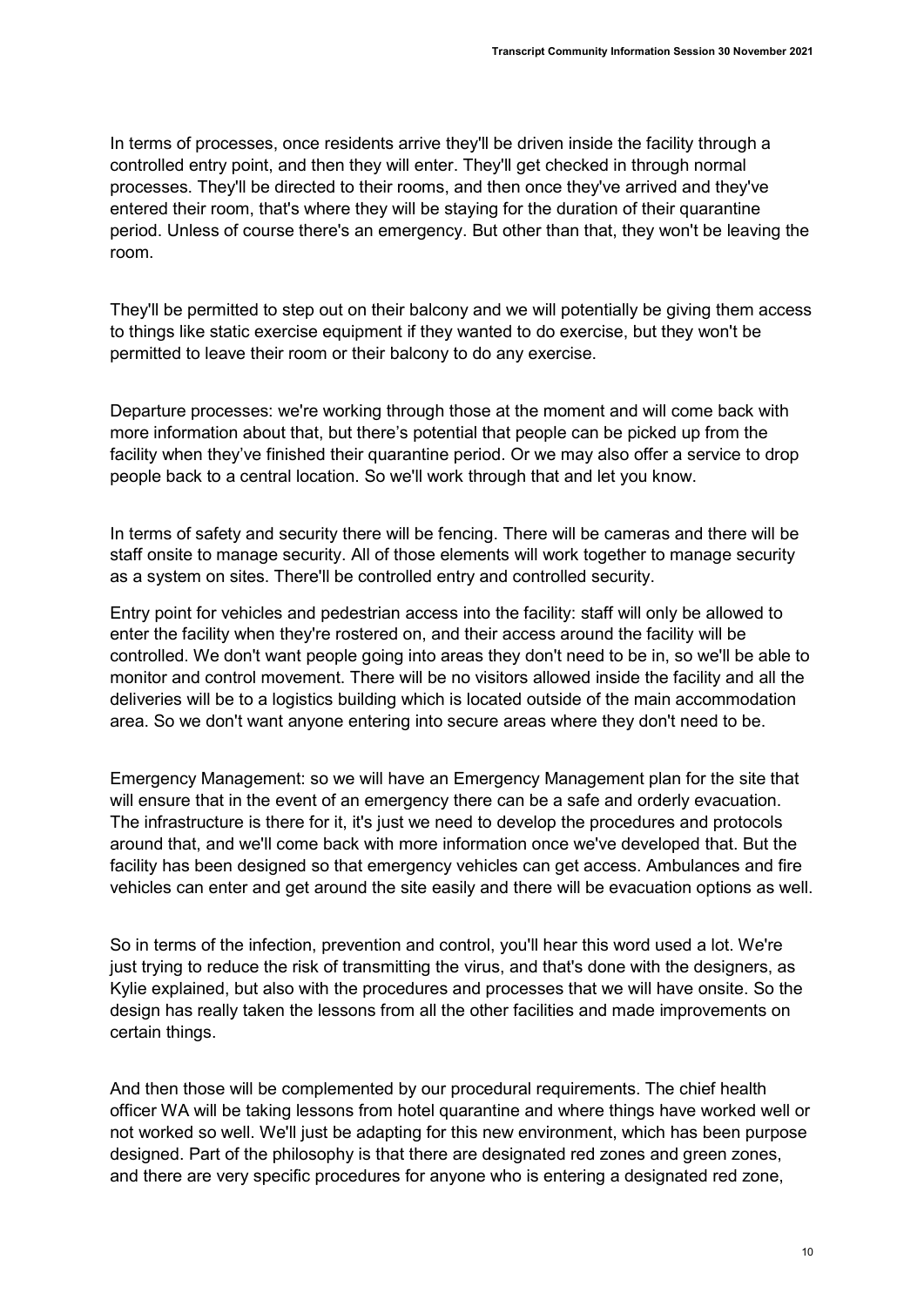In terms of processes, once residents arrive they'll be driven inside the facility through a controlled entry point, and then they will enter. They'll get checked in through normal processes. They'll be directed to their rooms, and then once they've arrived and they've entered their room, that's where they will be staying for the duration of their quarantine period. Unless of course there's an emergency. But other than that, they won't be leaving the room.

They'll be permitted to step out on their balcony and we will potentially be giving them access to things like static exercise equipment if they wanted to do exercise, but they won't be permitted to leave their room or their balcony to do any exercise.

Departure processes: we're working through those at the moment and will come back with more information about that, but there's potential that people can be picked up from the facility when they've finished their quarantine period. Or we may also offer a service to drop people back to a central location. So we'll work through that and let you know.

In terms of safety and security there will be fencing. There will be cameras and there will be staff onsite to manage security. All of those elements will work together to manage security as a system on sites. There'll be controlled entry and controlled security.

Entry point for vehicles and pedestrian access into the facility: staff will only be allowed to enter the facility when they're rostered on, and their access around the facility will be controlled. We don't want people going into areas they don't need to be in, so we'll be able to monitor and control movement. There will be no visitors allowed inside the facility and all the deliveries will be to a logistics building which is located outside of the main accommodation area. So we don't want anyone entering into secure areas where they don't need to be.

Emergency Management: so we will have an Emergency Management plan for the site that will ensure that in the event of an emergency there can be a safe and orderly evacuation. The infrastructure is there for it, it's just we need to develop the procedures and protocols around that, and we'll come back with more information once we've developed that. But the facility has been designed so that emergency vehicles can get access. Ambulances and fire vehicles can enter and get around the site easily and there will be evacuation options as well.

So in terms of the infection, prevention and control, you'll hear this word used a lot. We're just trying to reduce the risk of transmitting the virus, and that's done with the designers, as Kylie explained, but also with the procedures and processes that we will have onsite. So the design has really taken the lessons from all the other facilities and made improvements on certain things.

And then those will be complemented by our procedural requirements. The chief health officer WA will be taking lessons from hotel quarantine and where things have worked well or not worked so well. We'll just be adapting for this new environment, which has been purpose designed. Part of the philosophy is that there are designated red zones and green zones, and there are very specific procedures for anyone who is entering a designated red zone,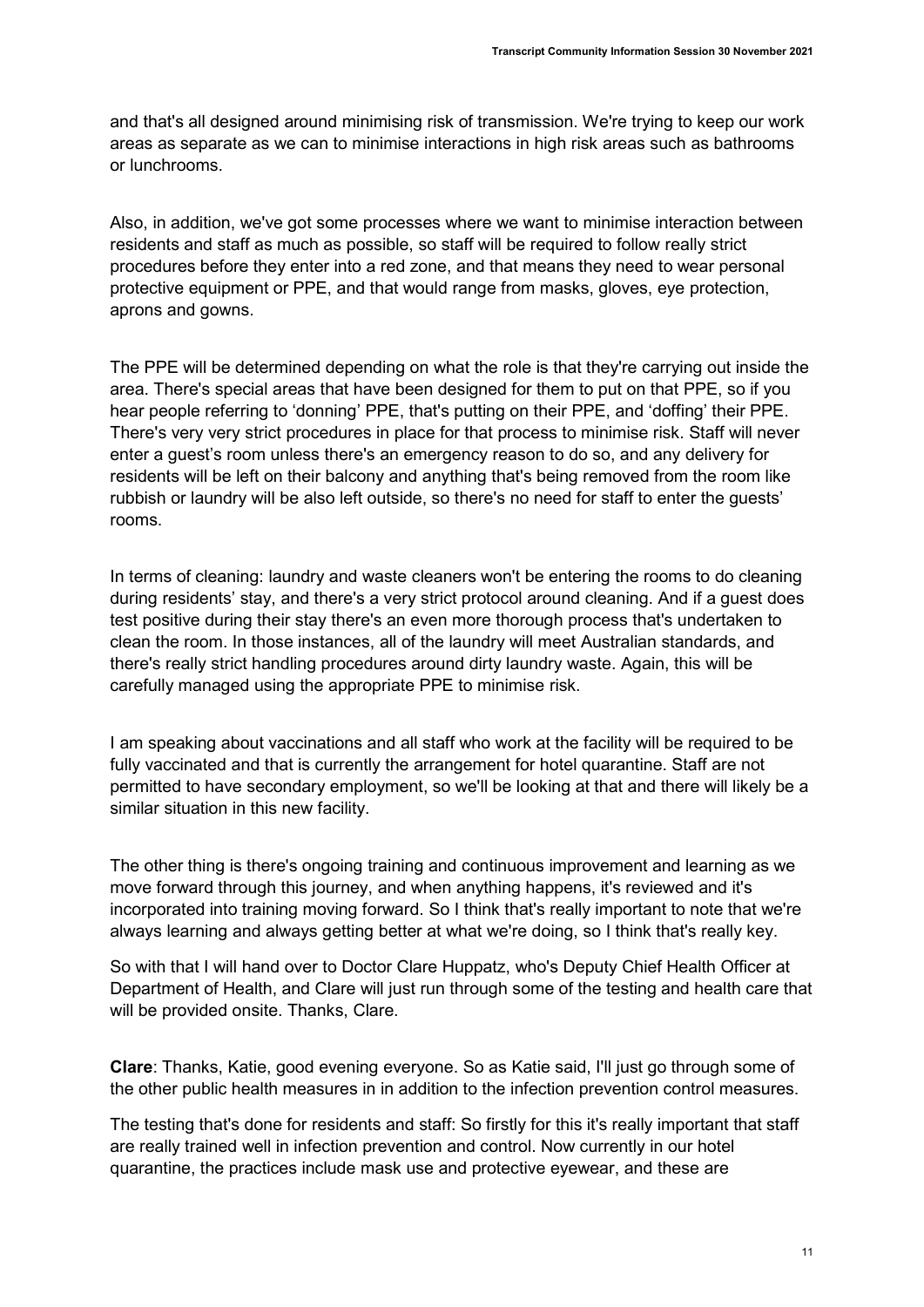and that's all designed around minimising risk of transmission. We're trying to keep our work areas as separate as we can to minimise interactions in high risk areas such as bathrooms or lunchrooms.

Also, in addition, we've got some processes where we want to minimise interaction between residents and staff as much as possible, so staff will be required to follow really strict procedures before they enter into a red zone, and that means they need to wear personal protective equipment or PPE, and that would range from masks, gloves, eye protection, aprons and gowns.

The PPE will be determined depending on what the role is that they're carrying out inside the area. There's special areas that have been designed for them to put on that PPE, so if you hear people referring to 'donning' PPE, that's putting on their PPE, and 'doffing' their PPE. There's very very strict procedures in place for that process to minimise risk. Staff will never enter a guest's room unless there's an emergency reason to do so, and any delivery for residents will be left on their balcony and anything that's being removed from the room like rubbish or laundry will be also left outside, so there's no need for staff to enter the guests' rooms.

In terms of cleaning: laundry and waste cleaners won't be entering the rooms to do cleaning during residents' stay, and there's a very strict protocol around cleaning. And if a guest does test positive during their stay there's an even more thorough process that's undertaken to clean the room. In those instances, all of the laundry will meet Australian standards, and there's really strict handling procedures around dirty laundry waste. Again, this will be carefully managed using the appropriate PPE to minimise risk.

I am speaking about vaccinations and all staff who work at the facility will be required to be fully vaccinated and that is currently the arrangement for hotel quarantine. Staff are not permitted to have secondary employment, so we'll be looking at that and there will likely be a similar situation in this new facility.

The other thing is there's ongoing training and continuous improvement and learning as we move forward through this journey, and when anything happens, it's reviewed and it's incorporated into training moving forward. So I think that's really important to note that we're always learning and always getting better at what we're doing, so I think that's really key.

So with that I will hand over to Doctor Clare Huppatz, who's Deputy Chief Health Officer at Department of Health, and Clare will just run through some of the testing and health care that will be provided onsite. Thanks, Clare.

Clare: Thanks, Katie, good evening everyone. So as Katie said, I'll just go through some of the other public health measures in in addition to the infection prevention control measures.

The testing that's done for residents and staff: So firstly for this it's really important that staff are really trained well in infection prevention and control. Now currently in our hotel quarantine, the practices include mask use and protective eyewear, and these are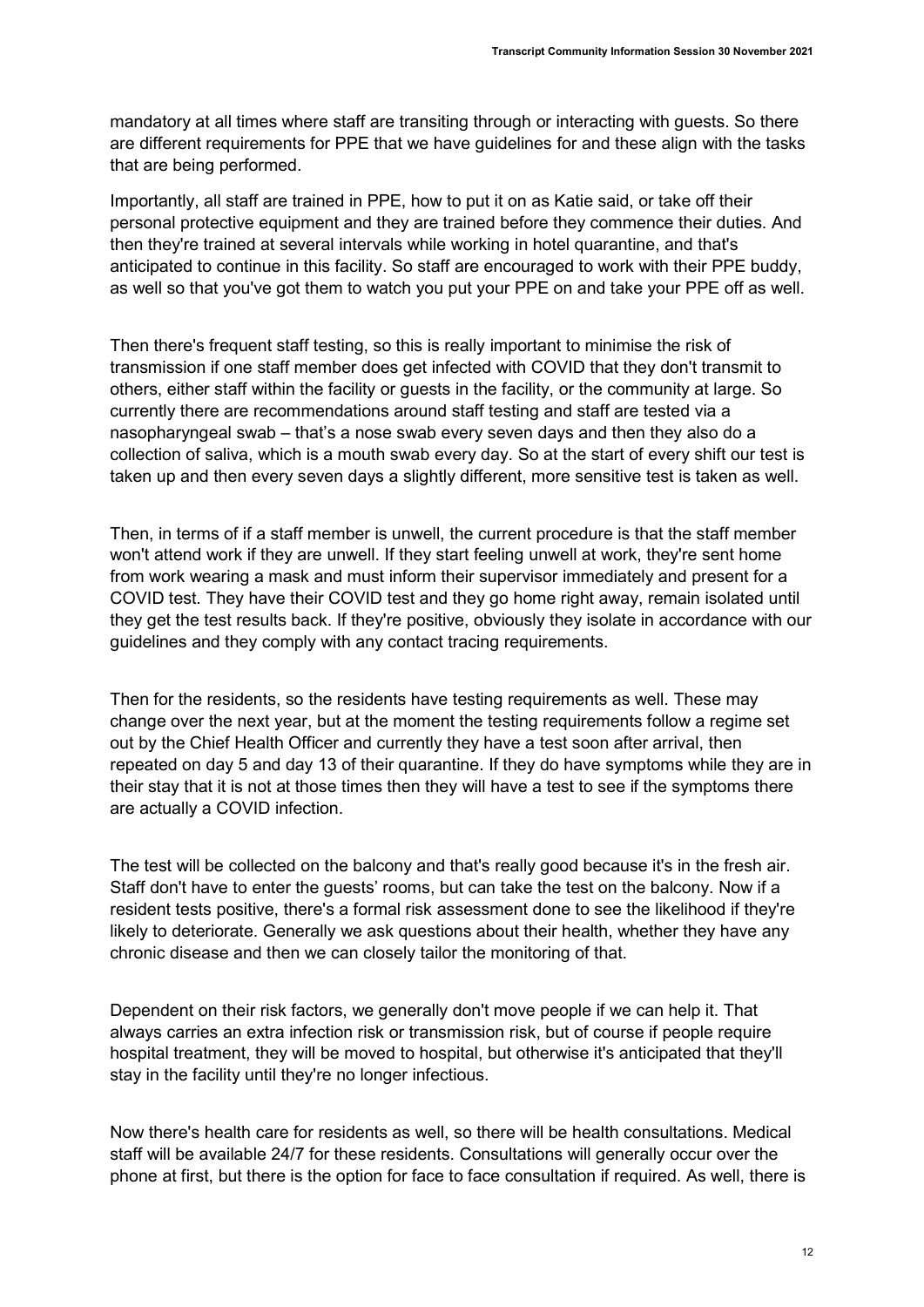mandatory at all times where staff are transiting through or interacting with guests. So there are different requirements for PPE that we have guidelines for and these align with the tasks that are being performed.

Importantly, all staff are trained in PPE, how to put it on as Katie said, or take off their personal protective equipment and they are trained before they commence their duties. And then they're trained at several intervals while working in hotel quarantine, and that's anticipated to continue in this facility. So staff are encouraged to work with their PPE buddy, as well so that you've got them to watch you put your PPE on and take your PPE off as well.

Then there's frequent staff testing, so this is really important to minimise the risk of transmission if one staff member does get infected with COVID that they don't transmit to others, either staff within the facility or guests in the facility, or the community at large. So currently there are recommendations around staff testing and staff are tested via a nasopharyngeal swab – that's a nose swab every seven days and then they also do a collection of saliva, which is a mouth swab every day. So at the start of every shift our test is taken up and then every seven days a slightly different, more sensitive test is taken as well.

Then, in terms of if a staff member is unwell, the current procedure is that the staff member won't attend work if they are unwell. If they start feeling unwell at work, they're sent home from work wearing a mask and must inform their supervisor immediately and present for a COVID test. They have their COVID test and they go home right away, remain isolated until they get the test results back. If they're positive, obviously they isolate in accordance with our guidelines and they comply with any contact tracing requirements.

Then for the residents, so the residents have testing requirements as well. These may change over the next year, but at the moment the testing requirements follow a regime set out by the Chief Health Officer and currently they have a test soon after arrival, then repeated on day 5 and day 13 of their quarantine. If they do have symptoms while they are in their stay that it is not at those times then they will have a test to see if the symptoms there are actually a COVID infection.

The test will be collected on the balcony and that's really good because it's in the fresh air. Staff don't have to enter the guests' rooms, but can take the test on the balcony. Now if a resident tests positive, there's a formal risk assessment done to see the likelihood if they're likely to deteriorate. Generally we ask questions about their health, whether they have any chronic disease and then we can closely tailor the monitoring of that.

Dependent on their risk factors, we generally don't move people if we can help it. That always carries an extra infection risk or transmission risk, but of course if people require hospital treatment, they will be moved to hospital, but otherwise it's anticipated that they'll stay in the facility until they're no longer infectious.

Now there's health care for residents as well, so there will be health consultations. Medical staff will be available 24/7 for these residents. Consultations will generally occur over the phone at first, but there is the option for face to face consultation if required. As well, there is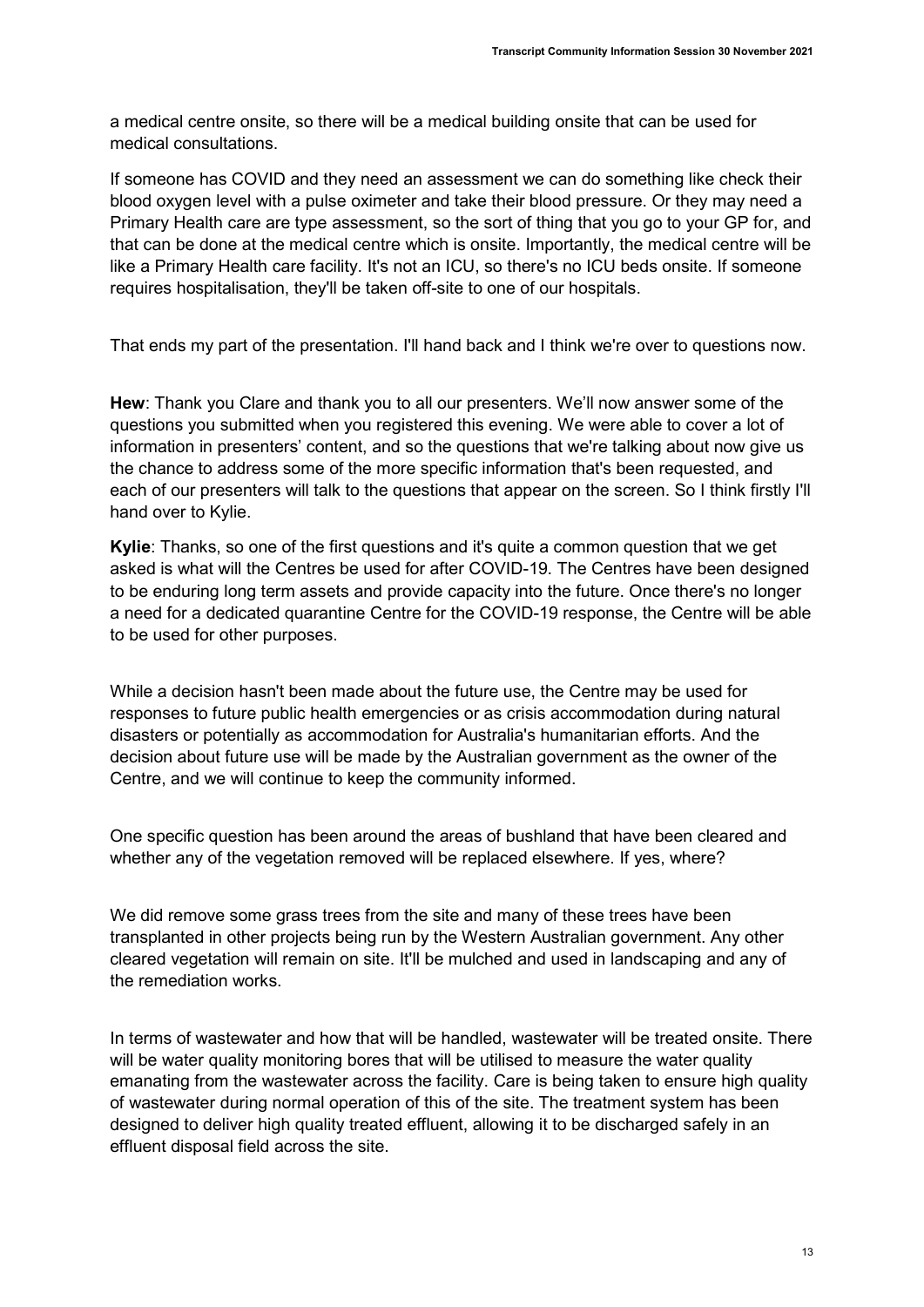a medical centre onsite, so there will be a medical building onsite that can be used for medical consultations.

If someone has COVID and they need an assessment we can do something like check their blood oxygen level with a pulse oximeter and take their blood pressure. Or they may need a Primary Health care are type assessment, so the sort of thing that you go to your GP for, and that can be done at the medical centre which is onsite. Importantly, the medical centre will be like a Primary Health care facility. It's not an ICU, so there's no ICU beds onsite. If someone requires hospitalisation, they'll be taken off-site to one of our hospitals.

That ends my part of the presentation. I'll hand back and I think we're over to questions now.

Hew: Thank you Clare and thank you to all our presenters. We'll now answer some of the questions you submitted when you registered this evening. We were able to cover a lot of information in presenters' content, and so the questions that we're talking about now give us the chance to address some of the more specific information that's been requested, and each of our presenters will talk to the questions that appear on the screen. So I think firstly I'll hand over to Kylie.

Kylie: Thanks, so one of the first questions and it's quite a common question that we get asked is what will the Centres be used for after COVID-19. The Centres have been designed to be enduring long term assets and provide capacity into the future. Once there's no longer a need for a dedicated quarantine Centre for the COVID-19 response, the Centre will be able to be used for other purposes.

While a decision hasn't been made about the future use, the Centre may be used for responses to future public health emergencies or as crisis accommodation during natural disasters or potentially as accommodation for Australia's humanitarian efforts. And the decision about future use will be made by the Australian government as the owner of the Centre, and we will continue to keep the community informed.

One specific question has been around the areas of bushland that have been cleared and whether any of the vegetation removed will be replaced elsewhere. If yes, where?

We did remove some grass trees from the site and many of these trees have been transplanted in other projects being run by the Western Australian government. Any other cleared vegetation will remain on site. It'll be mulched and used in landscaping and any of the remediation works.

In terms of wastewater and how that will be handled, wastewater will be treated onsite. There will be water quality monitoring bores that will be utilised to measure the water quality emanating from the wastewater across the facility. Care is being taken to ensure high quality of wastewater during normal operation of this of the site. The treatment system has been designed to deliver high quality treated effluent, allowing it to be discharged safely in an effluent disposal field across the site.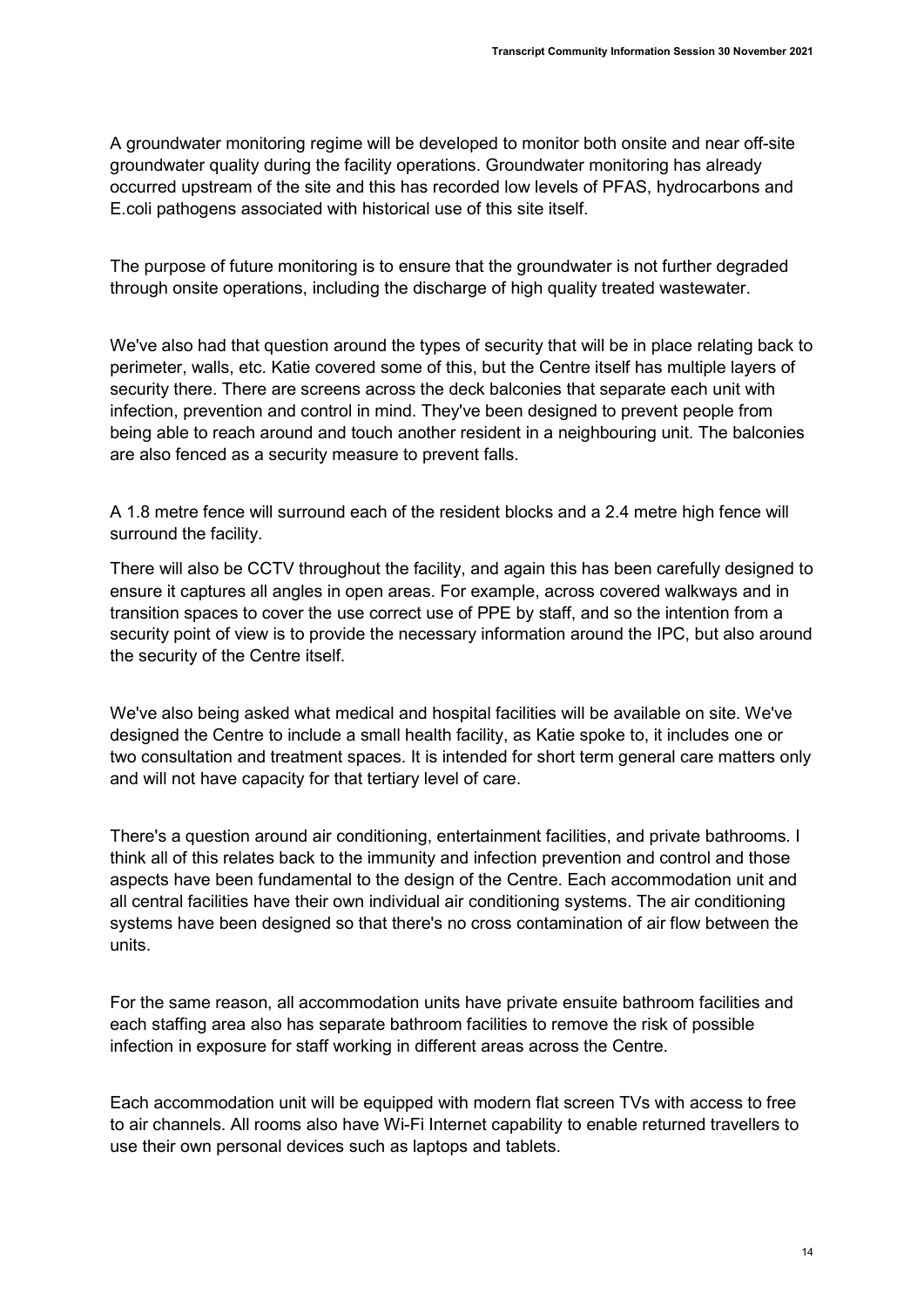A groundwater monitoring regime will be developed to monitor both onsite and near off-site groundwater quality during the facility operations. Groundwater monitoring has already occurred upstream of the site and this has recorded low levels of PFAS, hydrocarbons and E.coli pathogens associated with historical use of this site itself.

The purpose of future monitoring is to ensure that the groundwater is not further degraded through onsite operations, including the discharge of high quality treated wastewater.

We've also had that question around the types of security that will be in place relating back to perimeter, walls, etc. Katie covered some of this, but the Centre itself has multiple layers of security there. There are screens across the deck balconies that separate each unit with infection, prevention and control in mind. They've been designed to prevent people from being able to reach around and touch another resident in a neighbouring unit. The balconies are also fenced as a security measure to prevent falls.

A 1.8 metre fence will surround each of the resident blocks and a 2.4 metre high fence will surround the facility.

There will also be CCTV throughout the facility, and again this has been carefully designed to ensure it captures all angles in open areas. For example, across covered walkways and in transition spaces to cover the use correct use of PPE by staff, and so the intention from a security point of view is to provide the necessary information around the IPC, but also around the security of the Centre itself.

We've also being asked what medical and hospital facilities will be available on site. We've designed the Centre to include a small health facility, as Katie spoke to, it includes one or two consultation and treatment spaces. It is intended for short term general care matters only and will not have capacity for that tertiary level of care.

There's a question around air conditioning, entertainment facilities, and private bathrooms. I think all of this relates back to the immunity and infection prevention and control and those aspects have been fundamental to the design of the Centre. Each accommodation unit and all central facilities have their own individual air conditioning systems. The air conditioning systems have been designed so that there's no cross contamination of air flow between the units.

For the same reason, all accommodation units have private ensuite bathroom facilities and each staffing area also has separate bathroom facilities to remove the risk of possible infection in exposure for staff working in different areas across the Centre.

Each accommodation unit will be equipped with modern flat screen TVs with access to free to air channels. All rooms also have Wi-Fi Internet capability to enable returned travellers to use their own personal devices such as laptops and tablets.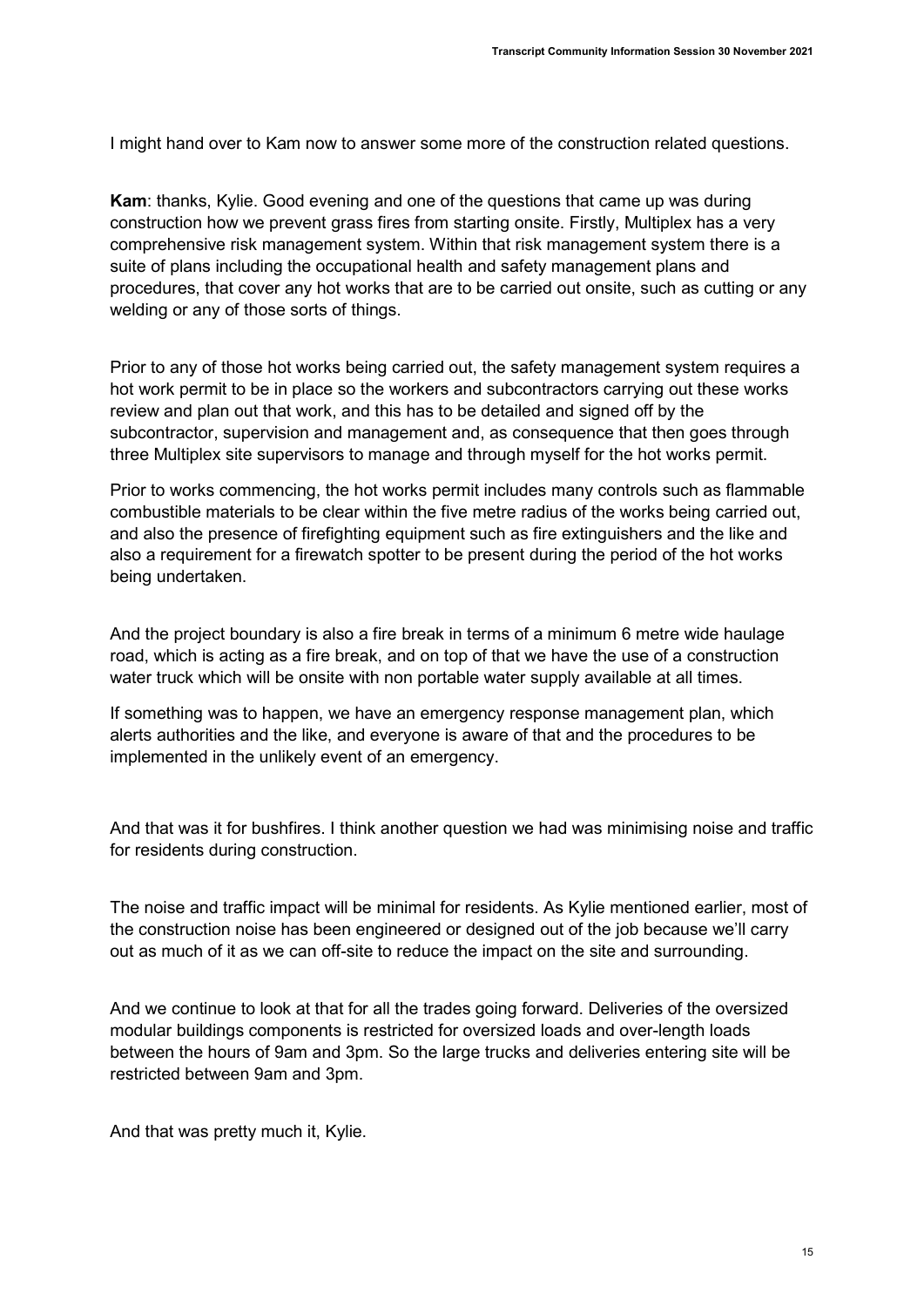I might hand over to Kam now to answer some more of the construction related questions.

Kam: thanks, Kylie. Good evening and one of the questions that came up was during construction how we prevent grass fires from starting onsite. Firstly, Multiplex has a very comprehensive risk management system. Within that risk management system there is a suite of plans including the occupational health and safety management plans and procedures, that cover any hot works that are to be carried out onsite, such as cutting or any welding or any of those sorts of things.

Prior to any of those hot works being carried out, the safety management system requires a hot work permit to be in place so the workers and subcontractors carrying out these works review and plan out that work, and this has to be detailed and signed off by the subcontractor, supervision and management and, as consequence that then goes through three Multiplex site supervisors to manage and through myself for the hot works permit.

Prior to works commencing, the hot works permit includes many controls such as flammable combustible materials to be clear within the five metre radius of the works being carried out, and also the presence of firefighting equipment such as fire extinguishers and the like and also a requirement for a firewatch spotter to be present during the period of the hot works being undertaken.

And the project boundary is also a fire break in terms of a minimum 6 metre wide haulage road, which is acting as a fire break, and on top of that we have the use of a construction water truck which will be onsite with non portable water supply available at all times.

If something was to happen, we have an emergency response management plan, which alerts authorities and the like, and everyone is aware of that and the procedures to be implemented in the unlikely event of an emergency.

And that was it for bushfires. I think another question we had was minimising noise and traffic for residents during construction.

The noise and traffic impact will be minimal for residents. As Kylie mentioned earlier, most of the construction noise has been engineered or designed out of the job because we'll carry out as much of it as we can off-site to reduce the impact on the site and surrounding.

And we continue to look at that for all the trades going forward. Deliveries of the oversized modular buildings components is restricted for oversized loads and over-length loads between the hours of 9am and 3pm. So the large trucks and deliveries entering site will be restricted between 9am and 3pm.

And that was pretty much it, Kylie.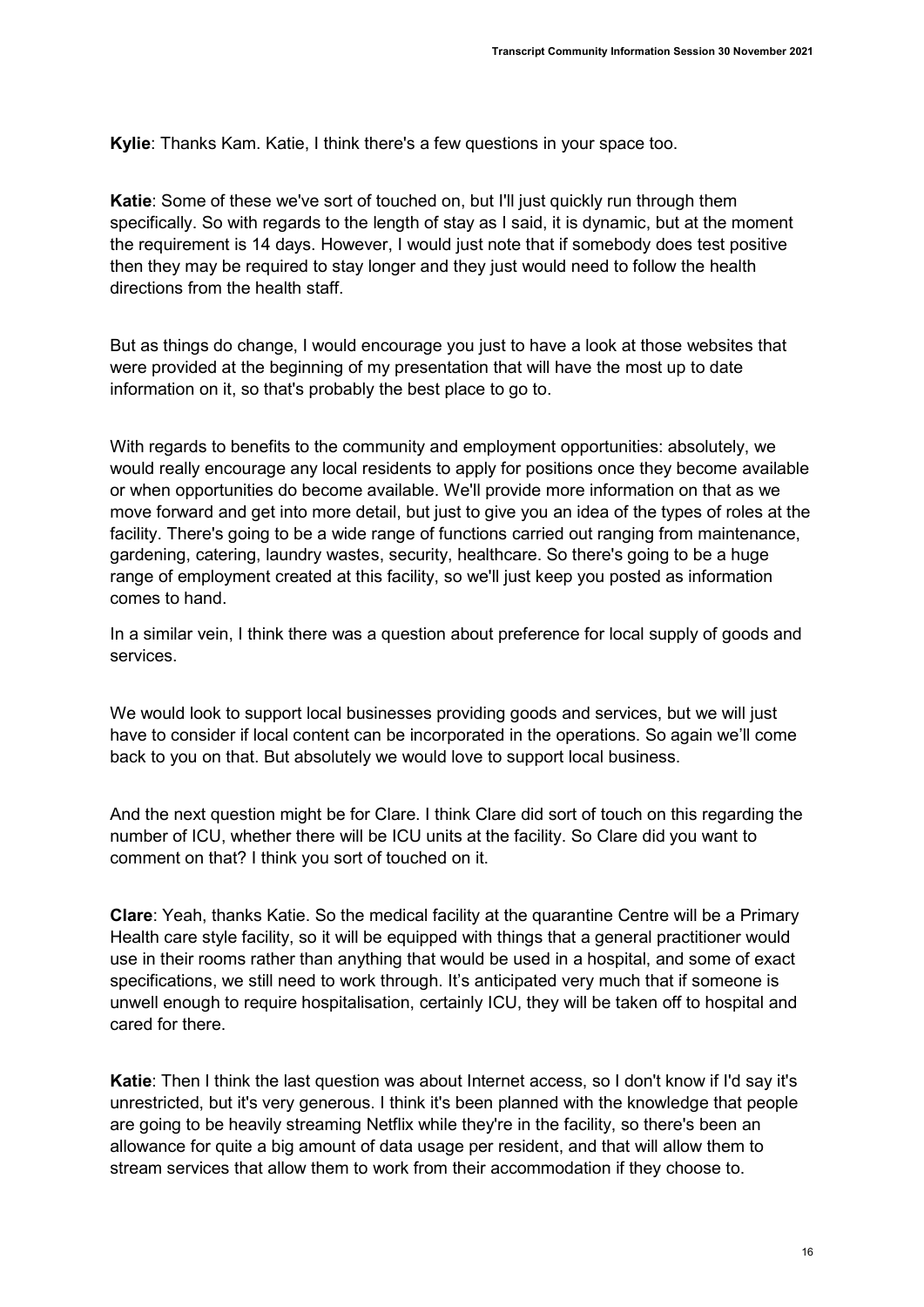Kylie: Thanks Kam. Katie, I think there's a few questions in your space too.

Katie: Some of these we've sort of touched on, but I'll just quickly run through them specifically. So with regards to the length of stay as I said, it is dynamic, but at the moment the requirement is 14 days. However, I would just note that if somebody does test positive then they may be required to stay longer and they just would need to follow the health directions from the health staff.

But as things do change, I would encourage you just to have a look at those websites that were provided at the beginning of my presentation that will have the most up to date information on it, so that's probably the best place to go to.

With regards to benefits to the community and employment opportunities: absolutely, we would really encourage any local residents to apply for positions once they become available or when opportunities do become available. We'll provide more information on that as we move forward and get into more detail, but just to give you an idea of the types of roles at the facility. There's going to be a wide range of functions carried out ranging from maintenance, gardening, catering, laundry wastes, security, healthcare. So there's going to be a huge range of employment created at this facility, so we'll just keep you posted as information comes to hand.

In a similar vein, I think there was a question about preference for local supply of goods and services.

We would look to support local businesses providing goods and services, but we will just have to consider if local content can be incorporated in the operations. So again we'll come back to you on that. But absolutely we would love to support local business.

And the next question might be for Clare. I think Clare did sort of touch on this regarding the number of ICU, whether there will be ICU units at the facility. So Clare did you want to comment on that? I think you sort of touched on it.

Clare: Yeah, thanks Katie. So the medical facility at the quarantine Centre will be a Primary Health care style facility, so it will be equipped with things that a general practitioner would use in their rooms rather than anything that would be used in a hospital, and some of exact specifications, we still need to work through. It's anticipated very much that if someone is unwell enough to require hospitalisation, certainly ICU, they will be taken off to hospital and cared for there.

Katie: Then I think the last question was about Internet access, so I don't know if I'd say it's unrestricted, but it's very generous. I think it's been planned with the knowledge that people are going to be heavily streaming Netflix while they're in the facility, so there's been an allowance for quite a big amount of data usage per resident, and that will allow them to stream services that allow them to work from their accommodation if they choose to.